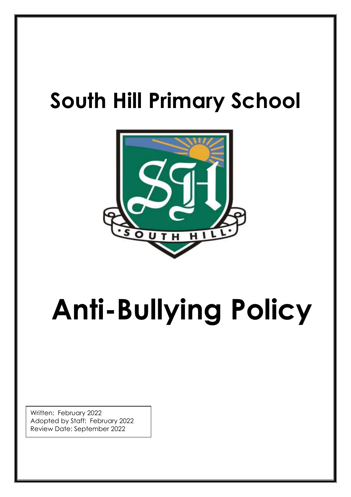## **South Hill Primary School**



# **Anti-Bullying Policy**

Written: February 2022 Adopted by Staff: February 2022 Review Date: September 2022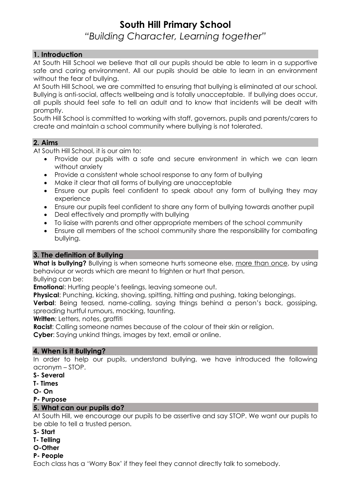### **South Hill Primary School** *"Building Character, Learning together"*

#### **1. Introduction**

At South Hill School we believe that all our pupils should be able to learn in a supportive safe and caring environment. All our pupils should be able to learn in an environment without the fear of bullying.

At South Hill School, we are committed to ensuring that bullying is eliminated at our school. Bullying is anti-social, affects wellbeing and is totally unacceptable. If bullying does occur, all pupils should feel safe to tell an adult and to know that incidents will be dealt with promptly.

South Hill School is committed to working with staff, governors, pupils and parents/carers to create and maintain a school community where bullying is not tolerated.

#### **2. Aims**

At South Hill School, it is our aim to:

- Provide our pupils with a safe and secure environment in which we can learn without anxiety
- Provide a consistent whole school response to any form of bullying
- Make it clear that all forms of bullying are unacceptable
- Ensure our pupils feel confident to speak about any form of bullying they may experience
- Ensure our pupils feel confident to share any form of bullying towards another pupil
- Deal effectively and promptly with bullying
- To liaise with parents and other appropriate members of the school community
- Ensure all members of the school community share the responsibility for combating bullying.

#### **3. The definition of Bullying**

**What is bullying?** Bullying is when someone hurts someone else, more than once, by using behaviour or words which are meant to frighten or hurt that person. Bullying can be:

**Emotiona**l: Hurting people's feelings, leaving someone out.

**Physical**: Punching, kicking, shoving, spitting, hitting and pushing, taking belongings.

**Verbal**: Being teased, name-calling, saying things behind a person's back, gossiping, spreading hurtful rumours, mocking, taunting.

**Written**: Letters, notes, graffiti

**Racist**: Calling someone names because of the colour of their skin or religion.

**Cyber**: Saying unkind things, images by text, email or online.

#### **4. When is it Bullying?**

In order to help our pupils, understand bullying, we have introduced the following acronym – STOP.

- **S- Several**
- **T- Times**
- **O- On**
- **P- Purpose**

#### **5. What can our pupils do?**

At South Hill, we encourage our pupils to be assertive and say STOP. We want our pupils to be able to tell a trusted person.

- **S- Start**
- **T- Telling**
- **O-Other**

#### **P- People**

Each class has a 'Worry Box' if they feel they cannot directly talk to somebody.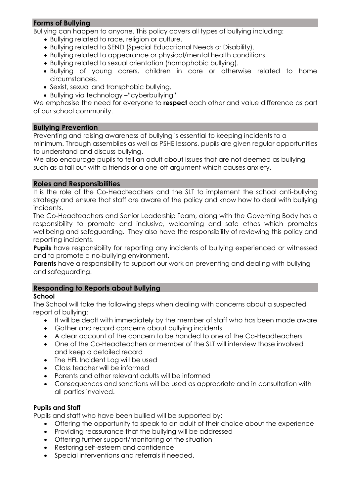#### **Forms of Bullying**

Bullying can happen to anyone. This policy covers all types of bullying including:

- Bullying related to race, religion or culture.
- Bullying related to SEND (Special Educational Needs or Disability).
- Bullying related to appearance or physical/mental health conditions.
- Bullying related to sexual orientation (homophobic bullying).
- Bullying of young carers, children in care or otherwise related to home circumstances.
- Sexist, sexual and transphobic bullying.
- Bullying via technology –"cyberbullying"

We emphasise the need for everyone to **respect** each other and value difference as part of our school community.

#### **Bullying Prevention**

Preventing and raising awareness of bullying is essential to keeping incidents to a minimum. Through assemblies as well as PSHE lessons, pupils are given regular opportunities to understand and discuss bullying.

We also encourage pupils to tell an adult about issues that are not deemed as bullying such as a fall out with a friends or a one-off argument which causes anxiety.

#### **Roles and Responsibilities**

It is the role of the Co-Headteachers and the SLT to implement the school anti-bullying strategy and ensure that staff are aware of the policy and know how to deal with bullying incidents.

The Co-Headteachers and Senior Leadership Team, along with the Governing Body has a responsibility to promote and inclusive, welcoming and safe ethos which promotes wellbeing and safeguarding. They also have the responsibility of reviewing this policy and reporting incidents.

**Pupils** have responsibility for reporting any incidents of bullying experienced or witnessed and to promote a no-bullying environment.

**Parents** have a responsibility to support our work on preventing and dealing with bullying and safeguarding.

#### **Responding to Reports about Bullying**

#### **School**

The School will take the following steps when dealing with concerns about a suspected report of bullying:

- It will be dealt with immediately by the member of staff who has been made aware
- Gather and record concerns about bullying incidents
- A clear account of the concern to be handed to one of the Co-Headteachers
- One of the Co-Headteachers or member of the SLT will interview those involved and keep a detailed record
- The HFL Incident Log will be used
- Class teacher will be informed
- Parents and other relevant adults will be informed
- Consequences and sanctions will be used as appropriate and in consultation with all parties involved.

#### **Pupils and Staff**

Pupils and staff who have been bullied will be supported by:

- Offering the opportunity to speak to an adult of their choice about the experience
- Providing reassurance that the bullying will be addressed
- Offering further support/monitoring of the situation
- Restoring self-esteem and confidence
- Special interventions and referrals if needed.